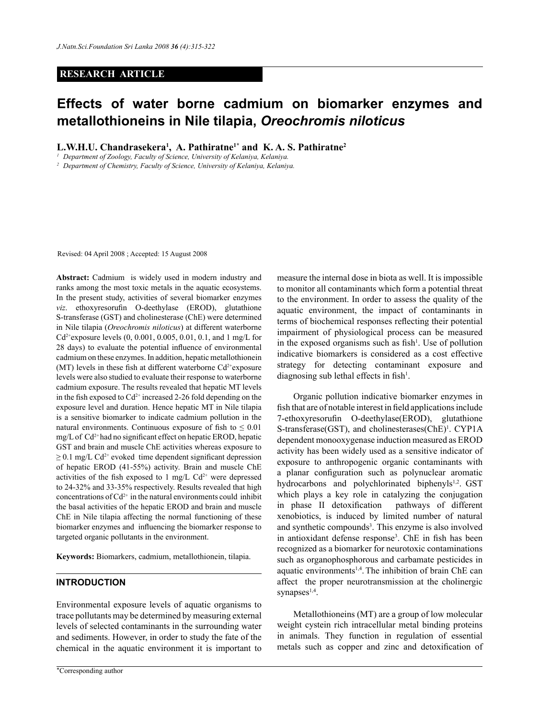## **RESEARCH ARTICLE**

# **Effects of water borne cadmium on biomarker enzymes and metallothioneins in Nile tilapia,** *Oreochromis niloticus*

L.W.H.U. Chandrasekera<sup>1</sup>, A. Pathiratne<sup>1\*</sup> and K.A.S. Pathiratne<sup>2</sup>

*<sup>1</sup> Department of Zoology, Faculty of Science, University of Kelaniya, Kelaniya.*

*<sup>2</sup> Department of Chemistry, Faculty of Science, University of Kelaniya, Kelaniya.*

Revised: 04 April 2008 ; Accepted: 15 August 2008

**Abstract:** Cadmium is widely used in modern industry and ranks among the most toxic metals in the aquatic ecosystems. In the present study, activities of several biomarker enzymes *viz*. ethoxyresorufin O-deethylase (EROD), glutathione S-transferase (GST) and cholinesterase (ChE) were determined in Nile tilapia (*Oreochromis niloticus*) at different waterborne  $Cd^{2+}$ exposure levels (0, 0.001, 0.005, 0.01, 0.1, and 1 mg/L for 28 days) to evaluate the potential influence of environmental cadmium on these enzymes. In addition, hepatic metallothionein (MT) levels in these fish at different waterborne  $Cd^{2+}$ exposure levels were also studied to evaluate their response to waterborne cadmium exposure. The results revealed that hepatic MT levels in the fish exposed to  $Cd^{2+}$  increased 2-26 fold depending on the exposure level and duration. Hence hepatic MT in Nile tilapia is a sensitive biomarker to indicate cadmium pollution in the natural environments. Continuous exposure of fish to  $\leq 0.01$ mg/L of Cd2+ had no significant effect on hepatic EROD, hepatic GST and brain and muscle ChE activities whereas exposure to  $\geq$  0.1 mg/L Cd<sup>2+</sup> evoked time dependent significant depression of hepatic EROD (41-55%) activity. Brain and muscle ChE activities of the fish exposed to 1 mg/L  $Cd^{2+}$  were depressed to 24-32% and 33-35% respectively. Results revealed that high concentrations of  $Cd^{2+}$  in the natural environments could inhibit the basal activities of the hepatic EROD and brain and muscle ChE in Nile tilapia affecting the normal functioning of these biomarker enzymes and influencing the biomarker response to targeted organic pollutants in the environment.

**Keywords:** Biomarkers, cadmium, metallothionein, tilapia.

# **INTRODUCTION**

Environmental exposure levels of aquatic organisms to trace pollutants may be determined by measuring external levels of selected contaminants in the surrounding water and sediments. However, in order to study the fate of the chemical in the aquatic environment it is important to measure the internal dose in biota as well. It is impossible to monitor all contaminants which form a potential threat to the environment. In order to assess the quality of the aquatic environment, the impact of contaminants in terms of biochemical responses reflecting their potential impairment of physiological process can be measured in the exposed organisms such as  $fish<sup>1</sup>$ . Use of pollution indicative biomarkers is considered as a cost effective strategy for detecting contaminant exposure and diagnosing sub lethal effects in  $fish<sup>1</sup>$ .

Organic pollution indicative biomarker enzymes in fish that are of notable interest in field applications include 7-ethoxyresorufin O-deethylase(EROD), glutathione S-transferase(GST), and cholinesterases(ChE)<sup>1</sup>. CYP1A dependent monooxygenase induction measured as EROD activity has been widely used as a sensitive indicator of exposure to anthropogenic organic contaminants with a planar configuration such as polynuclear aromatic hydrocarbons and polychlorinated biphenyls<sup>1,2</sup>. GST which plays a key role in catalyzing the conjugation in phase II detoxification pathways of different xenobiotics, is induced by limited number of natural and synthetic compounds<sup>3</sup>. This enzyme is also involved in antioxidant defense response3 . ChE in fish has been recognized as a biomarker for neurotoxic contaminations such as organophosphorous and carbamate pesticides in aquatic environments<sup>1,4</sup>. The inhibition of brain ChE can affect the proper neurotransmission at the cholinergic synapses<sup>1,4</sup>.

Metallothioneins (MT) are a group of low molecular weight cystein rich intracellular metal binding proteins in animals. They function in regulation of essential metals such as copper and zinc and detoxification of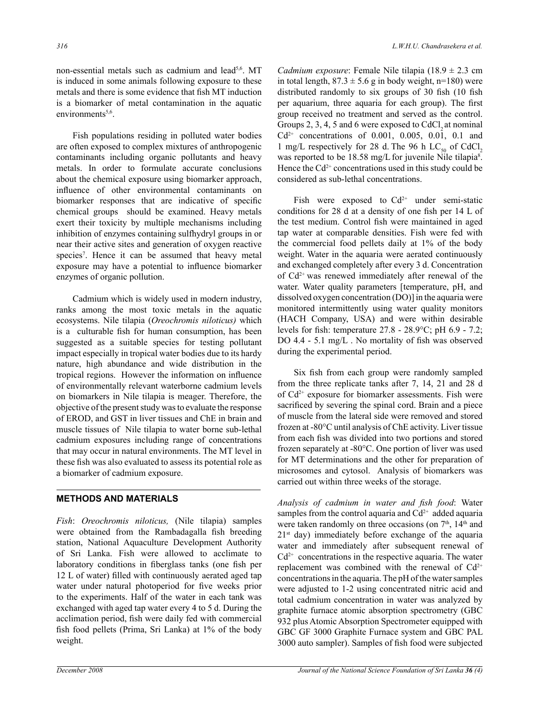non-essential metals such as cadmium and lead<sup>5,6</sup>. MT is induced in some animals following exposure to these metals and there is some evidence that fish MT induction is a biomarker of metal contamination in the aquatic environments<sup>5,6</sup>.

Fish populations residing in polluted water bodies are often exposed to complex mixtures of anthropogenic contaminants including organic pollutants and heavy metals. In order to formulate accurate conclusions about the chemical exposure using biomarker approach, influence of other environmental contaminants on biomarker responses that are indicative of specific chemical groups should be examined. Heavy metals exert their toxicity by multiple mechanisms including inhibition of enzymes containing sulfhydryl groups in or near their active sites and generation of oxygen reactive species<sup>7</sup>. Hence it can be assumed that heavy metal exposure may have a potential to influence biomarker enzymes of organic pollution.

Cadmium which is widely used in modern industry, ranks among the most toxic metals in the aquatic ecosystems. Nile tilapia (*Oreochromis niloticus)* which is a culturable fish for human consumption, has been suggested as a suitable species for testing pollutant impact especially in tropical water bodies due to its hardy nature, high abundance and wide distribution in the tropical regions. However the information on influence of environmentally relevant waterborne cadmium levels on biomarkers in Nile tilapia is meager. Therefore, the objective of the present study was to evaluate the response of EROD, and GST in liver tissues and ChE in brain and muscle tissues of Nile tilapia to water borne sub-lethal cadmium exposures including range of concentrations that may occur in natural environments. The MT level in these fish was also evaluated to assess its potential role as a biomarker of cadmium exposure.

# **METHODS AND MATERIALS**

*Fish*: *Oreochromis niloticus,* (Nile tilapia) samples were obtained from the Rambadagalla fish breeding station, National Aquaculture Development Authority of Sri Lanka. Fish were allowed to acclimate to laboratory conditions in fiberglass tanks (one fish per 12 L of water) filled with continuously aerated aged tap water under natural photoperiod for five weeks prior to the experiments. Half of the water in each tank was exchanged with aged tap water every 4 to 5 d. During the acclimation period, fish were daily fed with commercial fish food pellets (Prima, Sri Lanka) at 1% of the body weight.

*Cadmium exposure*: Female Nile tilapia (18.9  $\pm$  2.3 cm in total length,  $87.3 \pm 5.6$  g in body weight, n=180) were distributed randomly to six groups of 30 fish (10 fish per aquarium, three aquaria for each group). The first group received no treatment and served as the control. Groups  $2, 3, 4, 5$  and 6 were exposed to CdCl, at nominal  $Cd^{2+}$  concentrations of 0.001, 0.005, 0.01, 0.1 and 1 mg/L respectively for 28 d. The 96 h  $LC_{50}$  of CdCl<sub>2</sub> was reported to be 18.58 mg/L for juvenile Nile tilapia<sup>8</sup>. Hence the  $Cd^{2+}$  concentrations used in this study could be considered as sub-lethal concentrations.

Fish were exposed to  $Cd^{2+}$  under semi-static conditions for 28 d at a density of one fish per 14 L of the test medium. Control fish were maintained in aged tap water at comparable densities. Fish were fed with the commercial food pellets daily at 1% of the body weight. Water in the aquaria were aerated continuously and exchanged completely after every 3 d. Concentration of  $Cd^{2+}$  was renewed immediately after renewal of the water. Water quality parameters [temperature, pH, and dissolved oxygen concentration (DO)] in the aquaria were monitored intermittently using water quality monitors (HACH Company, USA) and were within desirable levels for fish: temperature 27.8 - 28.9°C; pH 6.9 - 7.2; DO 4.4 - 5.1 mg/L . No mortality of fish was observed during the experimental period.

 Six fish from each group were randomly sampled from the three replicate tanks after 7, 14, 21 and 28 d of  $Cd^{2+}$  exposure for biomarker assessments. Fish were sacrificed by severing the spinal cord. Brain and a piece of muscle from the lateral side were removed and stored frozen at -80°C until analysis of ChE activity. Liver tissue from each fish was divided into two portions and stored frozen separately at -80°C. One portion of liver was used for MT determinations and the other for preparation of microsomes and cytosol. Analysis of biomarkers was carried out within three weeks of the storage.

*Analysis of cadmium in water and fish food*: Water samples from the control aquaria and  $Cd<sup>2+</sup>$  added aquaria were taken randomly on three occasions (on  $7<sup>th</sup>$ ,  $14<sup>th</sup>$  and  $21<sup>st</sup>$  day) immediately before exchange of the aquaria water and immediately after subsequent renewal of  $Cd<sup>2+</sup>$  concentrations in the respective aquaria. The water replacement was combined with the renewal of  $Cd^{2+}$ concentrations in the aquaria. The pH of the water samples were adjusted to 1-2 using concentrated nitric acid and total cadmium concentration in water was analyzed by graphite furnace atomic absorption spectrometry (GBC 932 plus Atomic Absorption Spectrometer equipped with GBC GF 3000 Graphite Furnace system and GBC PAL 3000 auto sampler). Samples of fish food were subjected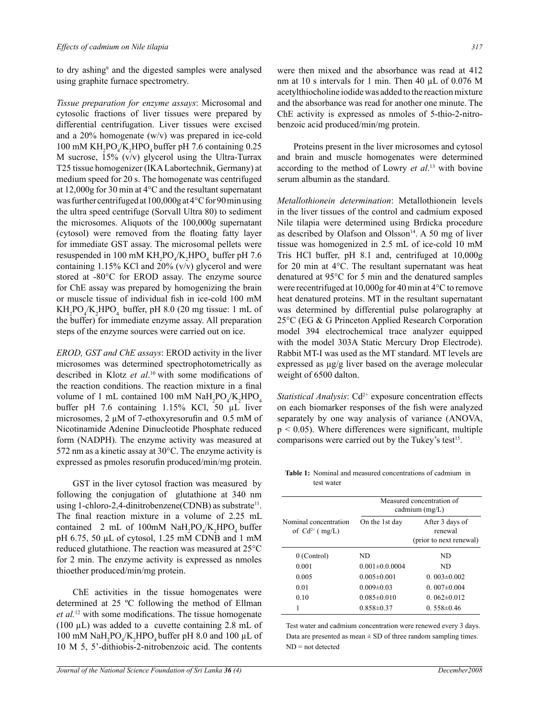to dry ashing<sup>9</sup> and the digested samples were analysed using graphite furnace spectrometry.

*Tissue preparation for enzyme assays*: Microsomal and cytosolic fractions of liver tissues were prepared by differential centrifugation. Liver tissues were excised and a 20% homogenate (w/v) was prepared in ice-cold 100 mM  $KH_2PO_4/K_2HPO_4$  buffer pH 7.6 containing 0.25 M sucrose, 15% (v/v) glycerol using the Ultra-Turrax T25 tissue homogenizer (IKA Labortechnik, Germany) at medium speed for 20 s. The homogenate was centrifuged at 12,000g for 30 min at 4°C and the resultant supernatant was further centrifuged at 100,000g at 4°C for 90 min using the ultra speed centrifuge (Sorvall Ultra 80) to sediment the microsomes. Aliquots of the 100,000g supernatant (cytosol) were removed from the floating fatty layer for immediate GST assay. The microsomal pellets were resuspended in 100 mM  $KH_2PO_4/K_2HPO_4$  buffer pH 7.6 containing 1.15% KCl and 20% (v/v) glycerol and were stored at -80°C for EROD assay. The enzyme source for ChE assay was prepared by homogenizing the brain or muscle tissue of individual fish in ice-cold 100 mM  $KH_2PO_4/K_2HPO_4$  buffer, pH 8.0 (20 mg tissue: 1 mL of the buffer) for immediate enzyme assay. All preparation steps of the enzyme sources were carried out on ice.

*EROD, GST and ChE assays*: EROD activity in the liver microsomes was determined spectrophotometrically as described in Klotz *et al*.<sup>10</sup> with some modifications of the reaction conditions. The reaction mixture in a final volume of 1 mL contained 100 mM  $\text{NaH}_2\text{PO}_4/\text{K}_2\text{HPO}_4$ buffer pH 7.6 containing 1.15% KCl, 50 µL liver microsomes, 2 µM of 7-ethoxyresorufin and 0.5 mM of Nicotinamide Adenine Dinucleotide Phosphate reduced form (NADPH). The enzyme activity was measured at 572 nm as a kinetic assay at 30°C. The enzyme activity is expressed as pmoles resorufin produced/min/mg protein.

GST in the liver cytosol fraction was measured by following the conjugation of glutathione at 340 nm using 1-chloro-2,4-dinitrobenzene(CDNB) as substrate<sup>11</sup>. The final reaction mixture in a volume of 2.25 mL contained 2 mL of 100mM  $\text{NaH}_2\text{PO}_4/\text{K}_2\text{HPO}_4$  buffer pH 6.75, 50 µL of cytosol, 1.25 mM CDNB and 1 mM reduced glutathione. The reaction was measured at 25°C for 2 min. The enzyme activity is expressed as nmoles thioether produced/min/mg protein.

ChE activities in the tissue homogenates were determined at 25 ºC following the method of Ellman *et al.*<sup>12</sup> with some modifications. The tissue homogenate (100  $\mu$ L) was added to a cuvette containing 2.8 mL of 100 mM  $\text{NaH}_2\text{PO}_4/\text{K}_2\text{HPO}_4$  buffer pH 8.0 and 100 µL of 10 M 5, 5'-dithiobis-2-nitrobenzoic acid. The contents

were then mixed and the absorbance was read at 412 nm at 10 s intervals for 1 min. Then 40  $\mu$ L of 0.076 M acetylthiocholine iodide was added to the reaction mixture and the absorbance was read for another one minute. The ChE activity is expressed as nmoles of 5-thio-2-nitrobenzoic acid produced/min/mg protein.

Proteins present in the liver microsomes and cytosol and brain and muscle homogenates were determined according to the method of Lowry *et al*. 13 with bovine serum albumin as the standard.

*Metallothionein determination*: Metallothionein levels in the liver tissues of the control and cadmium exposed Nile tilapia were determined using Brdicka procedure as described by Olafson and Olsson $14$ . A 50 mg of liver tissue was homogenized in 2.5 mL of ice-cold 10 mM Tris HCl buffer, pH 8.1 and, centrifuged at 10,000g for 20 min at 4°C. The resultant supernatant was heat denatured at 95°C for 5 min and the denatured samples were recentrifuged at 10,000g for 40 min at 4°C to remove heat denatured proteins. MT in the resultant supernatant was determined by differential pulse polarography at 25°C (EG & G Princeton Applied Research Corporation model 394 electrochemical trace analyzer equipped with the model 303A Static Mercury Drop Electrode). Rabbit MT-I was used as the MT standard. MT levels are expressed as µg/g liver based on the average molecular weight of 6500 dalton.

*Statistical Analysis*: Cd<sup>2+</sup> exposure concentration effects on each biomarker responses of the fish were analyzed separately by one way analysis of variance (ANOVA,  $p < 0.05$ ). Where differences were significant, multiple comparisons were carried out by the Tukey's test<sup>15</sup>.

**Table 1:** Nominal and measured concentrations of cadmium in test water

|                                              | Measured concentration of<br>cadmium $(mg/L)$ |                                                       |  |
|----------------------------------------------|-----------------------------------------------|-------------------------------------------------------|--|
| Nominal concentration<br>of $Cd^{2+}$ (mg/L) | On the 1st day                                | After 3 days of<br>renewal<br>(prior to next renewal) |  |
| 0 (Control)                                  | ND                                            | ND                                                    |  |
| 0.001                                        | $0.001 \pm 0.00004$                           | ND                                                    |  |
| 0.005                                        | $0.005 \pm 0.001$                             | $0.003 \pm 0.002$                                     |  |
| 0.01                                         | $0.009 \pm 0.03$                              | $0.007 \pm 0.004$                                     |  |
| 010                                          | $0.085 \pm 0.010$                             | $0.062\pm0.012$                                       |  |
|                                              | $0.858\pm0.37$                                | $0.558 \pm 0.46$                                      |  |

Test water and cadmium concentration were renewed every 3 days. Data are presented as mean  $\pm$  SD of three random sampling times. ND = not detected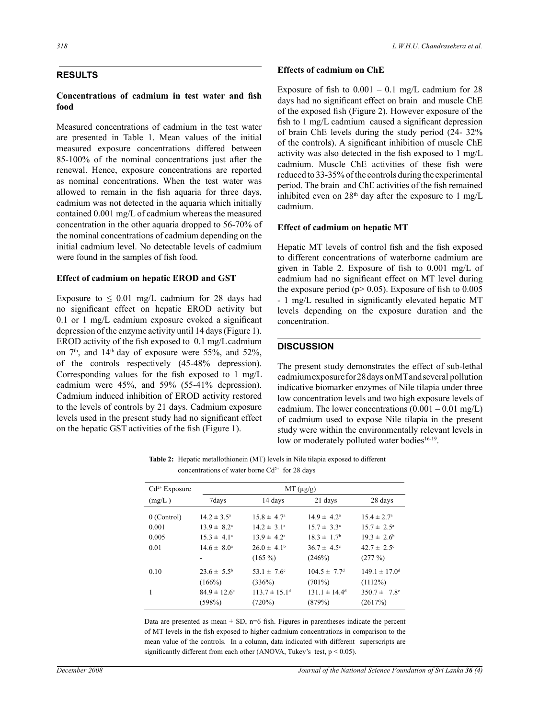### **RESULTS**

#### **Concentrations of cadmium in test water and fish food**

Measured concentrations of cadmium in the test water are presented in Table 1. Mean values of the initial measured exposure concentrations differed between 85-100% of the nominal concentrations just after the renewal. Hence, exposure concentrations are reported as nominal concentrations. When the test water was allowed to remain in the fish aquaria for three days, cadmium was not detected in the aquaria which initially contained 0.001 mg/L of cadmium whereas the measured concentration in the other aquaria dropped to 56-70% of the nominal concentrations of cadmium depending on the initial cadmium level. No detectable levels of cadmium were found in the samples of fish food.

#### **Effect of cadmium on hepatic EROD and GST**

Exposure to  $\leq 0.01$  mg/L cadmium for 28 days had no significant effect on hepatic EROD activity but 0.1 or 1 mg/L cadmium exposure evoked a significant depression of the enzyme activity until 14 days (Figure 1). EROD activity of the fish exposed to  $0.1 \text{ mg/L cadmium}$ on  $7<sup>th</sup>$ , and  $14<sup>th</sup>$  day of exposure were 55%, and 52%, of the controls respectively (45-48% depression). Corresponding values for the fish exposed to 1 mg/L cadmium were 45%, and 59% (55-41% depression). Cadmium induced inhibition of EROD activity restored to the levels of controls by 21 days. Cadmium exposure levels used in the present study had no significant effect on the hepatic GST activities of the fish (Figure 1).

## **Effects of cadmium on ChE**

Exposure of fish to  $0.001 - 0.1$  mg/L cadmium for 28 days had no significant effect on brain and muscle ChE of the exposed fish (Figure 2). However exposure of the fish to 1 mg/L cadmium caused a significant depression of brain ChE levels during the study period (24- 32% of the controls). A significant inhibition of muscle ChE activity was also detected in the fish exposed to 1 mg/L cadmium. Muscle ChE activities of these fish were reduced to 33-35% of the controls during the experimental period. The brain and ChE activities of the fish remained inhibited even on  $28<sup>th</sup>$  day after the exposure to 1 mg/L cadmium.

#### **Effect of cadmium on hepatic MT**

Hepatic MT levels of control fish and the fish exposed to different concentrations of waterborne cadmium are given in Table 2. Exposure of fish to 0.001 mg/L of cadmium had no significant effect on MT level during the exposure period ( $p$  > 0.05). Exposure of fish to 0.005 - 1 mg/L resulted in significantly elevated hepatic MT levels depending on the exposure duration and the concentration.

## **DISCUSSION**

The present study demonstrates the effect of sub-lethal cadmium exposure for 28 days on MT and several pollution indicative biomarker enzymes of Nile tilapia under three low concentration levels and two high exposure levels of cadmium. The lower concentrations  $(0.001 - 0.01 \text{ mg/L})$ of cadmium used to expose Nile tilapia in the present study were within the environmentally relevant levels in low or moderately polluted water bodies<sup>16-19</sup>.

**Table 2:** Hepatic metallothionein (MT) levels in Nile tilapia exposed to different concentrations of water borne  $Cd^{2+}$  for 28 days

| $Cd^{2+}$ Exposure | $MT(\mu g/g)$                |                               |                              |                               |
|--------------------|------------------------------|-------------------------------|------------------------------|-------------------------------|
| (mg/L)             | 7days                        | 14 days                       | 21 days                      | 28 days                       |
| $0$ (Control)      | $14.2 \pm 3.5^{\circ}$       | $15.8 \pm 4.7^{\circ}$        | $14.9 \pm 4.2^{\circ}$       | $15.4 \pm 2.7^{\circ}$        |
| 0.001              | $13.9 \pm 8.2^{\circ}$       | $14.2 \pm 3.1^{\circ}$        | $15.7 \pm 3.3^a$             | $15.7 \pm 2.5^{\circ}$        |
| 0.005              | $15.3 \pm 4.1^{\circ}$       | $13.9 \pm 4.2^{\circ}$        | $18.3 \pm 1.7^{\circ}$       | $19.3 \pm 2.6^{\circ}$        |
| 0.01               | $14.6 \pm 8.0^{\circ}$       | $26.0 \pm 4.1^b$              | $36.7 \pm 4.5$ °             | $42.7 \pm 2.5^{\circ}$        |
|                    |                              | $(165\%)$                     | (246%)                       | (277%)                        |
| 0.10               | $23.6 \pm 5.5^{\rm b}$       | $53.1 \pm 7.6$ <sup>c</sup>   | $104.5 \pm 7.7$ <sup>d</sup> | $149.1 \pm 17.0$ <sup>d</sup> |
|                    | (166%)                       | (336%)                        | $(701\%)$                    | (1112%)                       |
| 1                  | $84.9 \pm 12.6$ <sup>c</sup> | $113.7 \pm 15.1$ <sup>d</sup> | $131.1 \pm 14.4^d$           | $350.7 \pm 7.8$ <sup>e</sup>  |
|                    | (598%)                       | (720%)                        | (879%)                       | (2617%)                       |

Data are presented as mean  $\pm$  SD, n=6 fish. Figures in parentheses indicate the percent of MT levels in the fish exposed to higher cadmium concentrations in comparison to the mean value of the controls. In a column, data indicated with different superscripts are significantly different from each other (ANOVA, Tukey's test,  $p < 0.05$ ).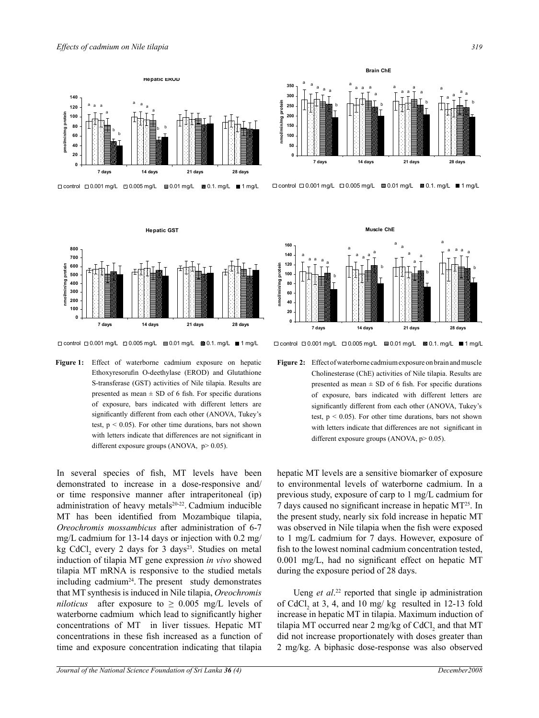

**Hepatic GST**



 $\Box$  control  $\Box$  0.001 mg/L  $\Box$  0.005 mg/L  $\Box$  0.01 mg/L  $\Box$  0.1. mg/L  $\Box$  1 mg/L

**Figure 1:** Effect of waterborne cadmium exposure on hepatic Ethoxyresorufin O-deethylase (EROD) and Glutathione S-transferase (GST) activities of Nile tilapia. Results are presented as mean  $\pm$  SD of 6 fish. For specific durations of exposure, bars indicated with different letters are significantly different from each other (ANOVA, Tukey's test,  $p < 0.05$ ). For other time durations, bars not shown with letters indicate that differences are not significant in different exposure groups (ANOVA,  $p > 0.05$ ).

In several species of fish, MT levels have been demonstrated to increase in a dose-responsive and/ or time responsive manner after intraperitoneal (ip) administration of heavy metals<sup>20-22</sup>. Cadmium inducible MT has been identified from Mozambique tilapia, *Oreochromis mossambicus* after administration of 6-7 mg/L cadmium for 13-14 days or injection with 0.2 mg/ kg CdCl<sub>2</sub> every 2 days for 3 days<sup>23</sup>. Studies on metal induction of tilapia MT gene expression *in vivo* showed tilapia MT mRNA is responsive to the studied metals including cadmium<sup>24</sup>. The present study demonstrates that MT synthesis is induced in Nile tilapia, *Oreochromis niloticus* after exposure to  $\geq 0.005$  mg/L levels of waterborne cadmium which lead to significantly higher concentrations of MT in liver tissues. Hepatic MT concentrations in these fish increased as a function of time and exposure concentration indicating that tilapia



□ control □ 0.001 mg/L □ 0.005 mg/L ■ 0.01 mg/L ■ 0.1. mg/L ■ 1 mg/L



 $\square$  control  $\square$  0.001 mg/L  $\square$  0.005 mg/L  $\square$  0.01 mg/L  $\square$  0.1. mg/L  $\square$  1 mg/L

**Figure 2:** Effect of waterborne cadmium exposure on brain and muscle Cholinesterase (ChE) activities of Nile tilapia. Results are presented as mean  $\pm$  SD of 6 fish. For specific durations of exposure, bars indicated with different letters are significantly different from each other (ANOVA, Tukey's test,  $p < 0.05$ ). For other time durations, bars not shown with letters indicate that differences are not significant in different exposure groups (ANOVA, p> 0.05).

hepatic MT levels are a sensitive biomarker of exposure to environmental levels of waterborne cadmium. In a previous study, exposure of carp to 1 mg/L cadmium for 7 days caused no significant increase in hepatic MT25. In the present study, nearly six fold increase in hepatic MT was observed in Nile tilapia when the fish were exposed to 1 mg/L cadmium for 7 days. However, exposure of fish to the lowest nominal cadmium concentration tested, 0.001 mg/L, had no significant effect on hepatic MT during the exposure period of 28 days.

Ueng *et al*. 22 reported that single ip administration of CdCl<sub>2</sub> at 3, 4, and 10 mg/ kg resulted in 12-13 fold increase in hepatic MT in tilapia. Maximum induction of tilapia MT occurred near 2 mg/kg of  $CdCl<sub>2</sub>$  and that MT did not increase proportionately with doses greater than 2 mg/kg. A biphasic dose-response was also observed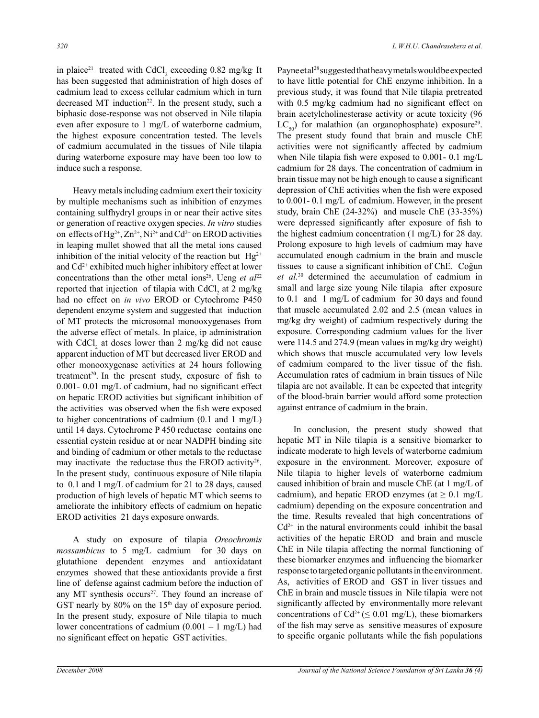in plaice<sup>21</sup> treated with CdCl<sub>2</sub> exceeding  $0.82 \text{ mg/kg}$  It has been suggested that administration of high doses of cadmium lead to excess cellular cadmium which in turn decreased MT induction<sup>22</sup>. In the present study, such a biphasic dose-response was not observed in Nile tilapia even after exposure to 1 mg/L of waterborne cadmium, the highest exposure concentration tested. The levels of cadmium accumulated in the tissues of Nile tilapia during waterborne exposure may have been too low to induce such a response.

Heavy metals including cadmium exert their toxicity by multiple mechanisms such as inhibition of enzymes containing sulfhydryl groups in or near their active sites or generation of reactive oxygen species. *In vitro* studies on effects of Hg<sup>2+</sup>,  $\text{Zn}^{2+}$ , Ni<sup>2+</sup> and Cd<sup>2+</sup> on EROD activities in leaping mullet showed that all the metal ions caused inhibition of the initial velocity of the reaction but  $Hg^{2+}$ and  $Cd^{2+}$  exhibited much higher inhibitory effect at lower concentrations than the other metal ions<sup>26</sup>. Ueng *et al*<sup>22</sup> reported that injection of tilapia with  $CdCl<sub>2</sub>$  at 2 mg/kg had no effect on *in vivo* EROD or Cytochrome P450 dependent enzyme system and suggested that induction of MT protects the microsomal monooxygenases from the adverse effect of metals. In plaice, ip administration with  $CdCl<sub>2</sub>$  at doses lower than 2 mg/kg did not cause apparent induction of MT but decreased liver EROD and other monooxygenase activities at 24 hours following treatment<sup>20</sup>. In the present study, exposure of fish to 0.001- 0.01 mg/L of cadmium, had no significant effect on hepatic EROD activities but significant inhibition of the activities was observed when the fish were exposed to higher concentrations of cadmium (0.1 and 1 mg/L) until 14 days. Cytochrome P 450 reductase contains one essential cystein residue at or near NADPH binding site and binding of cadmium or other metals to the reductase may inactivate the reductase thus the EROD activity<sup>26</sup>. In the present study, continuous exposure of Nile tilapia to 0.1 and 1 mg/L of cadmium for 21 to 28 days, caused production of high levels of hepatic MT which seems to ameliorate the inhibitory effects of cadmium on hepatic EROD activities 21 days exposure onwards.

A study on exposure of tilapia *Oreochromis mossambicus* to 5 mg/L cadmium for 30 days on glutathione dependent enzymes and antioxidatant enzymes showed that these antioxidants provide a first line of defense against cadmium before the induction of any MT synthesis occurs<sup>27</sup>. They found an increase of GST nearly by  $80\%$  on the 15<sup>th</sup> day of exposure period. In the present study, exposure of Nile tilapia to much lower concentrations of cadmium  $(0.001 - 1 \text{ mg/L})$  had no significant effect on hepatic GST activities.

Payne et al<sup>28</sup> suggested that heavy metals would be expected to have little potential for ChE enzyme inhibition. In a previous study, it was found that Nile tilapia pretreated with 0.5 mg/kg cadmium had no significant effect on brain acetylcholinesterase activity or acute toxicity (96  $LC_{50}$ ) for malathion (an organophosphate) exposure<sup>29</sup>. The present study found that brain and muscle ChE activities were not significantly affected by cadmium when Nile tilapia fish were exposed to 0.001- 0.1 mg/L cadmium for 28 days. The concentration of cadmium in brain tissue may not be high enough to cause a significant depression of ChE activities when the fish were exposed to 0.001- 0.1 mg/L of cadmium. However, in the present study, brain ChE (24-32%) and muscle ChE (33-35%) were depressed significantly after exposure of fish to the highest cadmium concentration (1 mg/L) for 28 day. Prolong exposure to high levels of cadmium may have accumulated enough cadmium in the brain and muscle tissues to cause a significant inhibition of ChE. Coğun *et al.*30 determined the accumulation of cadmium in small and large size young Nile tilapia after exposure to 0.1 and 1 mg/L of cadmium for 30 days and found that muscle accumulated 2.02 and 2.5 (mean values in mg/kg dry weight) of cadmium respectively during the exposure. Corresponding cadmium values for the liver were 114.5 and 274.9 (mean values in mg/kg dry weight) which shows that muscle accumulated very low levels of cadmium compared to the liver tissue of the fish. Accumulation rates of cadmium in brain tissues of Nile tilapia are not available. It can be expected that integrity of the blood-brain barrier would afford some protection against entrance of cadmium in the brain.

In conclusion, the present study showed that hepatic MT in Nile tilapia is a sensitive biomarker to indicate moderate to high levels of waterborne cadmium exposure in the environment. Moreover, exposure of Nile tilapia to higher levels of waterborne cadmium caused inhibition of brain and muscle ChE (at 1 mg/L of cadmium), and hepatic EROD enzymes (at  $\geq 0.1$  mg/L cadmium) depending on the exposure concentration and the time. Results revealed that high concentrations of  $Cd<sup>2+</sup>$  in the natural environments could inhibit the basal activities of the hepatic EROD and brain and muscle ChE in Nile tilapia affecting the normal functioning of these biomarker enzymes and influencing the biomarker response to targeted organic pollutants in the environment. As, activities of EROD and GST in liver tissues and ChE in brain and muscle tissues in Nile tilapia were not significantly affected by environmentally more relevant concentrations of  $Cd^{2+}$  ( $\leq 0.01$  mg/L), these biomarkers of the fish may serve as sensitive measures of exposure to specific organic pollutants while the fish populations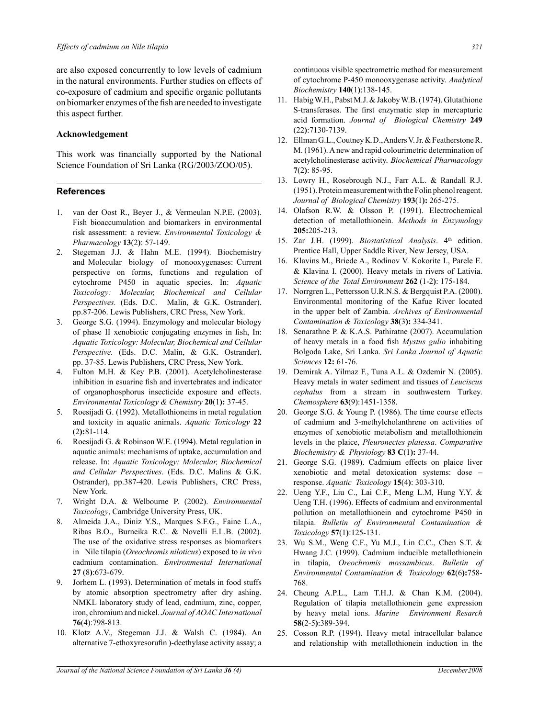are also exposed concurrently to low levels of cadmium in the natural environments. Further studies on effects of co-exposure of cadmium and specific organic pollutants on biomarker enzymes ofthe fish are needed to investigate this aspect further.

#### **Acknowledgement**

This work was financially supported by the National Science Foundation of Sri Lanka (RG/2003/ZOO/05).

#### **References**

- 1. van der Oost R., Beyer J., & Vermeulan N.P.E. (2003). Fish bioaccumulation and biomarkers in environmental risk assessment: a review. *Environmental Toxicology & Pharmacology* **13**(2**)**: 57-149.
- 2. Stegeman J.J. & Hahn M.E. (1994). Biochemistry and Molecular biology of monooxygenases: Current perspective on forms, functions and regulation of cytochrome P450 in aquatic species. In: *Aquatic Toxicology: Molecular, Biochemical and Cellular Perspectives.* (Eds. D.C. Malin, & G.K. Ostrander). pp.87-206. Lewis Publishers, CRC Press, New York.
- 3. George S.G. (1994). Enzymology and molecular biology of phase II xenobiotic conjugating enzymes in fish, In: *Aquatic Toxicology: Molecular, Biochemical and Cellular Perspective.* (Eds. D.C. Malin, & G.K. Ostrander). pp. 37-85. Lewis Publishers, CRC Press, New York.
- 4. Fulton M.H. & Key P.B. (2001). Acetylcholinesterase inhibition in esuarine fish and invertebrates and indicator of organophosphorus insecticide exposure and effects. *Environmental Toxicology & Chemistry* **20**(1**):** 37-45.
- 5. Roesijadi G. (1992). Metallothioneins in metal regulation and toxicity in aquatic animals. *Aquatic Toxicology* **22**  (2**):**81-114.
- 6. Roesijadi G. & Robinson W.E. (1994). Metal regulation in aquatic animals: mechanisms of uptake, accumulation and release. In: *Aquatic Toxicology: Molecular, Biochemical and Cellular Perspectives*. (Eds. D.C. Malins & G.K. Ostrander), pp.387-420. Lewis Publishers, CRC Press, New York.
- 7. Wright D.A. & Welbourne P. (2002). *Environmental Toxicology*, Cambridge University Press, UK.
- 8. Almeida J.A., Diniz Y.S., Marques S.F.G., Faine L.A., Ribas B.O., Burneika R.C. & Novelli E.L.B. (2002). The use of the oxidative stress responses as biomarkers in Nile tilapia (*Oreochromis niloticus*) exposed to *in vivo* cadmium contamination. *Environmental International* **27** (8**)**:673-679.
- 9. Jorhem L. (1993). Determination of metals in food stuffs by atomic absorption spectrometry after dry ashing. NMKL laboratory study of lead, cadmium, zinc, copper, iron, chromium and nickel. *Journal of AOAC International* **76**(4):798-813.
- 10. Klotz A.V., Stegeman J.J. & Walsh C. (1984). An alternative 7-ethoxyresorufin )-deethylase activity assay; a

continuous visible spectrometric method for measurement of cytochrome P-450 monooxygenase activity. *Analytical Biochemistry* **140**(1**)**:138-145.

- 11. Habig W.H., Pabst M.J. & Jakoby W.B. (1974). Glutathione S-transferases. The first enzymatic step in mercapturic acid formation. *Journal of Biological Chemistry* **249**  (22**)**:7130-7139.
- 12. Ellman G.L., Coutney K.D., Anders V. Jr. & Featherstone R. M. (1961). A new and rapid colourimetric determination of acetylcholinesterase activity. *Biochemical Pharmacology* **7**(2**)**: 85-95.
- 13. Lowry H., Rosebrough N.J., Farr A.L. & Randall R.J. (1951). Protein measurement with the Folin phenol reagent. *Journal of Biological Chemistry* **193**(1**):** 265-275.
- 14. Olafson R.W. & Olsson P. (1991). Electrochemical detection of metallothionein. *Methods in Enzymology* **205:**205-213.
- 15. Zar J.H. (1999). *Biostatistical Analysis*. 4<sup>th</sup> edition. Prentice Hall, Upper Saddle River, New Jersey, USA.
- 16. Klavins M., Briede A., Rodinov V. Kokorite I., Parele E. & Klavina I. (2000). Heavy metals in rivers of Lativia. *Science of the Total Environment* **262** (1-2**)**: 175-184.
- 17. Norrgren L., Pettersson U.R.N.S. & Bergquist P.A. (2000). Environmental monitoring of the Kafue River located in the upper belt of Zambia. *Archives of Environmental Contamination & Toxicology* **38**(3**):** 334-341.
- 18. Senarathne P. & K.A.S. Pathiratne (2007). Accumulation of heavy metals in a food fish *Mystus gulio* inhabiting Bolgoda Lake, Sri Lanka. *Sri Lanka Journal of Aquatic Sciences* **12:** 61-76.
- 19. Demirak A. Yilmaz F., Tuna A.L. & Ozdemir N. (2005). Heavy metals in water sediment and tissues of *Leuciscus cephalus* from a stream in southwestern Turkey. *Chemosphere* **63**(9):1451-1358.
- 20. George S.G. & Young P. (1986). The time course effects of cadmium and 3-methylcholanthrene on activities of enzymes of xenobiotic metabolism and metallothionein levels in the plaice, *Pleuronectes platessa*. *Comparative Biochemistry & Physiology* **83 C**(1**):** 37-44.
- 21. George S.G. (1989). Cadmium effects on plaice liver xenobiotic and metal detoxication systems: dose – response. *Aquatic Toxicology* **15**(4**)**: 303-310.
- 22. Ueng Y.F., Liu C., Lai C.F., Meng L.M, Hung Y.Y. & Ueng T.H. (1996). Effects of cadmium and environmental pollution on metallothionein and cytochrome P450 in tilapia. *Bulletin of Environmental Contamination & Toxicology* **57**(1**)**:125-131.
- 23. Wu S.M., Weng C.F., Yu M.J., Lin C.C., Chen S.T. & Hwang J.C. (1999). Cadmium inducible metallothionein in tilapia, *Oreochromis mossambicus*. *Bulletin of Environmental Contamination & Toxicology* **62**(6**):**758- 768.
- 24. Cheung A.P.L., Lam T.H.J. & Chan K.M. (2004). Regulation of tilapia metallothionein gene expression by heavy metal ions. *Marine Environment Resarch* **58**(2-5**)**:389-394.
- 25. Cosson R.P. (1994). Heavy metal intracellular balance and relationship with metallothionein induction in the